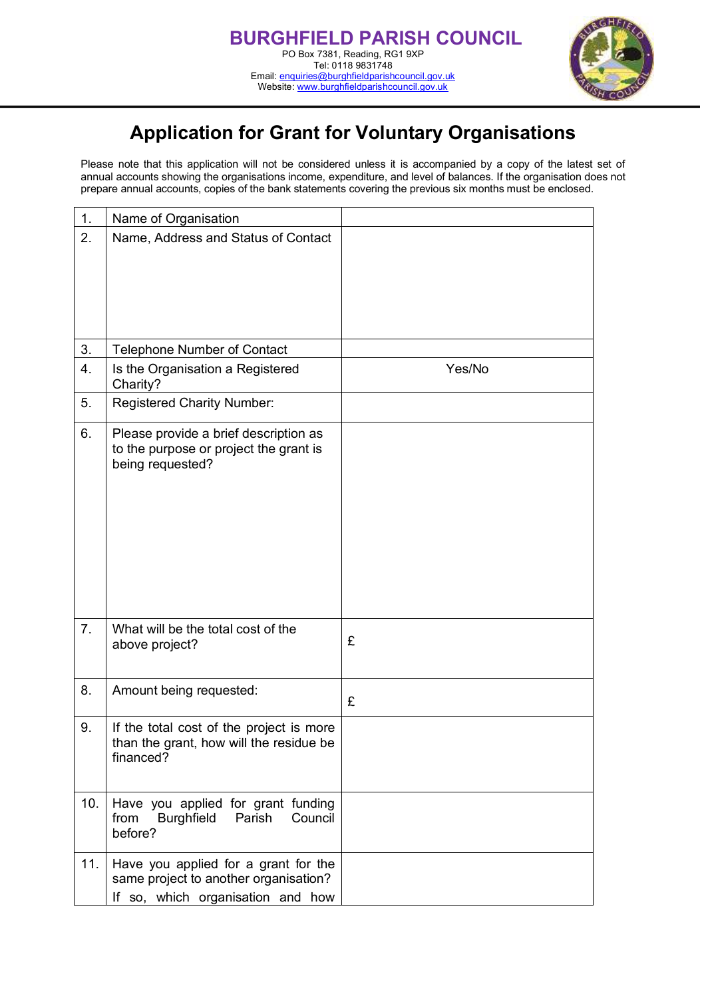

## **Application for Grant for Voluntary Organisations**

Please note that this application will not be considered unless it is accompanied by a copy of the latest set of annual accounts showing the organisations income, expenditure, and level of balances. If the organisation does not prepare annual accounts, copies of the bank statements covering the previous six months must be enclosed.

| 1.  | Name of Organisation                                                                                               |        |
|-----|--------------------------------------------------------------------------------------------------------------------|--------|
| 2.  | Name, Address and Status of Contact                                                                                |        |
| 3.  | <b>Telephone Number of Contact</b>                                                                                 |        |
| 4.  | Is the Organisation a Registered<br>Charity?                                                                       | Yes/No |
| 5.  | <b>Registered Charity Number:</b>                                                                                  |        |
| 6.  | Please provide a brief description as<br>to the purpose or project the grant is<br>being requested?                |        |
| 7.  | What will be the total cost of the<br>above project?                                                               | £      |
| 8.  | Amount being requested:                                                                                            | £      |
| 9.  | If the total cost of the project is more<br>than the grant, how will the residue be<br>financed?                   |        |
| 10. | Have you applied for grant funding<br>Council<br>from<br><b>Burghfield</b><br>Parish<br>before?                    |        |
| 11. | Have you applied for a grant for the<br>same project to another organisation?<br>If so, which organisation and how |        |